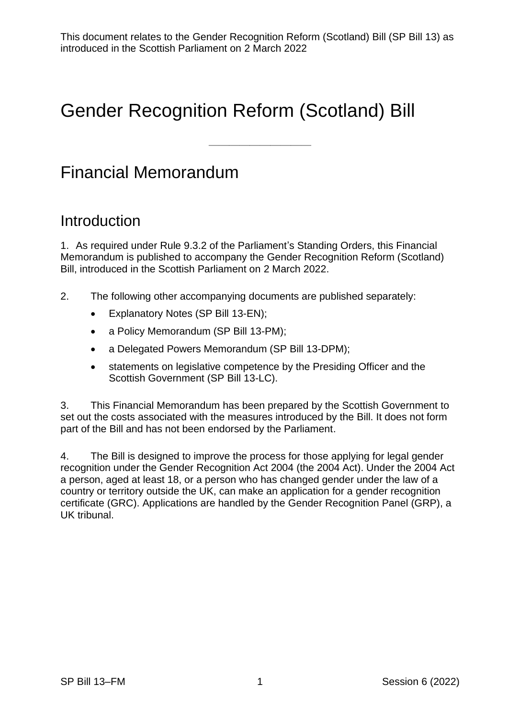——————————

# Gender Recognition Reform (Scotland) Bill

## Financial Memorandum

## **Introduction**

1. As required under Rule 9.3.2 of the Parliament's Standing Orders, this Financial Memorandum is published to accompany the Gender Recognition Reform (Scotland) Bill, introduced in the Scottish Parliament on 2 March 2022.

- 2. The following other accompanying documents are published separately:
	- Explanatory Notes (SP Bill 13-EN);
	- a Policy Memorandum (SP Bill 13-PM);
	- a Delegated Powers Memorandum (SP Bill 13-DPM);
	- statements on legislative competence by the Presiding Officer and the Scottish Government (SP Bill 13-LC).

3. This Financial Memorandum has been prepared by the Scottish Government to set out the costs associated with the measures introduced by the Bill. It does not form part of the Bill and has not been endorsed by the Parliament.

4. The Bill is designed to improve the process for those applying for legal gender recognition under the Gender Recognition Act 2004 (the 2004 Act). Under the 2004 Act a person, aged at least 18, or a person who has changed gender under the law of a country or territory outside the UK, can make an application for a gender recognition certificate (GRC). Applications are handled by the Gender Recognition Panel (GRP), a UK tribunal.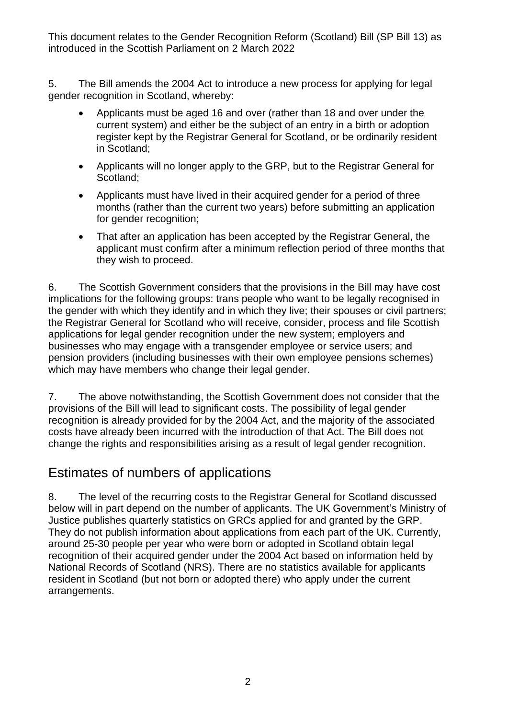5. The Bill amends the 2004 Act to introduce a new process for applying for legal gender recognition in Scotland, whereby:

- Applicants must be aged 16 and over (rather than 18 and over under the current system) and either be the subject of an entry in a birth or adoption register kept by the Registrar General for Scotland, or be ordinarily resident in Scotland;
- Applicants will no longer apply to the GRP, but to the Registrar General for Scotland;
- Applicants must have lived in their acquired gender for a period of three months (rather than the current two years) before submitting an application for gender recognition;
- That after an application has been accepted by the Registrar General, the applicant must confirm after a minimum reflection period of three months that they wish to proceed.

6. The Scottish Government considers that the provisions in the Bill may have cost implications for the following groups: trans people who want to be legally recognised in the gender with which they identify and in which they live; their spouses or civil partners; the Registrar General for Scotland who will receive, consider, process and file Scottish applications for legal gender recognition under the new system; employers and businesses who may engage with a transgender employee or service users; and pension providers (including businesses with their own employee pensions schemes) which may have members who change their legal gender.

7. The above notwithstanding, the Scottish Government does not consider that the provisions of the Bill will lead to significant costs. The possibility of legal gender recognition is already provided for by the 2004 Act, and the majority of the associated costs have already been incurred with the introduction of that Act. The Bill does not change the rights and responsibilities arising as a result of legal gender recognition.

### Estimates of numbers of applications

8. The level of the recurring costs to the Registrar General for Scotland discussed below will in part depend on the number of applicants. The UK Government's Ministry of Justice publishes quarterly statistics on GRCs applied for and granted by the GRP. They do not publish information about applications from each part of the UK. Currently, around 25-30 people per year who were born or adopted in Scotland obtain legal recognition of their acquired gender under the 2004 Act based on information held by National Records of Scotland (NRS). There are no statistics available for applicants resident in Scotland (but not born or adopted there) who apply under the current arrangements.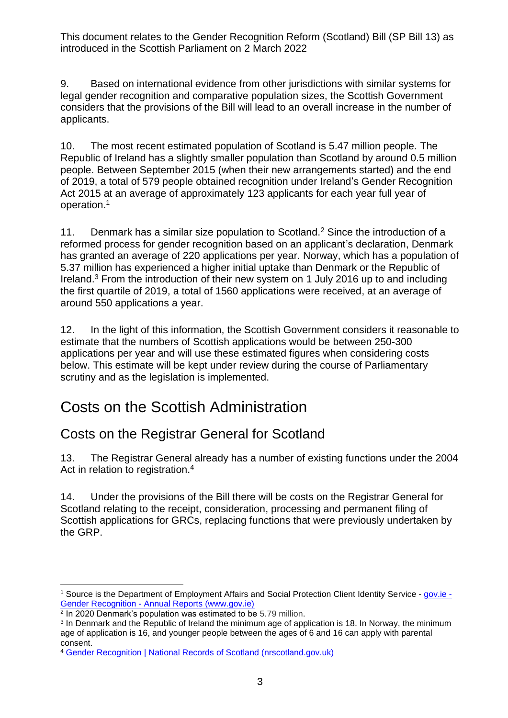9. Based on international evidence from other jurisdictions with similar systems for legal gender recognition and comparative population sizes, the Scottish Government considers that the provisions of the Bill will lead to an overall increase in the number of applicants.

10. The most recent estimated population of Scotland is 5.47 million people. The Republic of Ireland has a slightly smaller population than Scotland by around 0.5 million people. Between September 2015 (when their new arrangements started) and the end of 2019, a total of 579 people obtained recognition under Ireland's Gender Recognition Act 2015 at an average of approximately 123 applicants for each year full year of operation.<sup>1</sup>

11. Denmark has a similar size population to Scotland.<sup>2</sup> Since the introduction of a reformed process for gender recognition based on an applicant's declaration, Denmark has granted an average of 220 applications per year. Norway, which has a population of 5.37 million has experienced a higher initial uptake than Denmark or the Republic of Ireland.<sup>3</sup> From the introduction of their new system on 1 July 2016 up to and including the first quartile of 2019, a total of 1560 applications were received, at an average of around 550 applications a year.

12. In the light of this information, the Scottish Government considers it reasonable to estimate that the numbers of Scottish applications would be between 250-300 applications per year and will use these estimated figures when considering costs below. This estimate will be kept under review during the course of Parliamentary scrutiny and as the legislation is implemented.

## Costs on the Scottish Administration

### Costs on the Registrar General for Scotland

13. The Registrar General already has a number of existing functions under the 2004 Act in relation to registration.<sup>4</sup>

14. Under the provisions of the Bill there will be costs on the Registrar General for Scotland relating to the receipt, consideration, processing and permanent filing of Scottish applications for GRCs, replacing functions that were previously undertaken by the GRP.

<sup>1</sup> Source is the Department of Employment Affairs and Social Protection Client Identity Service - [gov.ie -](https://www.gov.ie/en/collection/ea16c-gender-recognition-annual-reports/?referrer=http://www.gov.ie/en/publication/292d01-annual-reports-under-section-6-of-the-gender-recognition-act-2015/) Gender Recognition - [Annual Reports \(www.gov.ie\)](https://www.gov.ie/en/collection/ea16c-gender-recognition-annual-reports/?referrer=http://www.gov.ie/en/publication/292d01-annual-reports-under-section-6-of-the-gender-recognition-act-2015/)

<sup>2</sup> In 2020 Denmark's population was estimated to be 5.79 million.

<sup>&</sup>lt;sup>3</sup> In Denmark and the Republic of Ireland the minimum age of application is 18. In Norway, the minimum age of application is 16, and younger people between the ages of 6 and 16 can apply with parental consent.

<sup>4</sup> [Gender Recognition | National Records of Scotland \(nrscotland.gov.uk\)](https://www.nrscotland.gov.uk/registration/gender-recognition)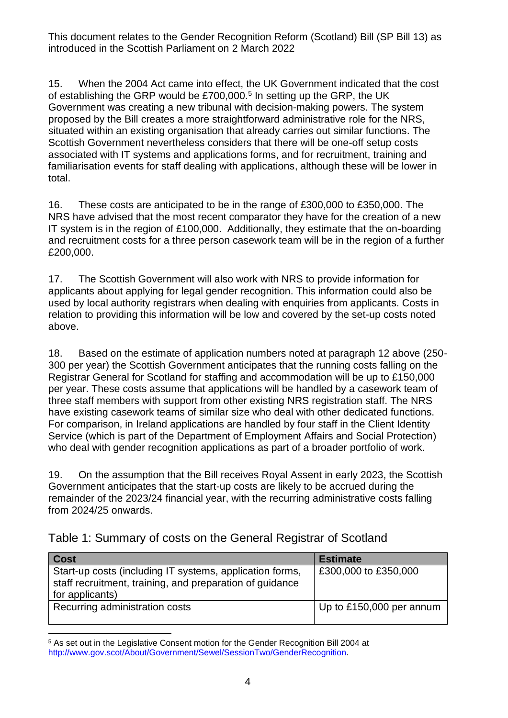15. When the 2004 Act came into effect, the UK Government indicated that the cost of establishing the GRP would be £700,000.<sup>5</sup> In setting up the GRP, the UK Government was creating a new tribunal with decision-making powers. The system proposed by the Bill creates a more straightforward administrative role for the NRS, situated within an existing organisation that already carries out similar functions. The Scottish Government nevertheless considers that there will be one-off setup costs associated with IT systems and applications forms, and for recruitment, training and familiarisation events for staff dealing with applications, although these will be lower in total.

16. These costs are anticipated to be in the range of £300,000 to £350,000. The NRS have advised that the most recent comparator they have for the creation of a new IT system is in the region of £100,000. Additionally, they estimate that the on-boarding and recruitment costs for a three person casework team will be in the region of a further £200,000.

17. The Scottish Government will also work with NRS to provide information for applicants about applying for legal gender recognition. This information could also be used by local authority registrars when dealing with enquiries from applicants. Costs in relation to providing this information will be low and covered by the set-up costs noted above.

18. Based on the estimate of application numbers noted at paragraph 12 above (250- 300 per year) the Scottish Government anticipates that the running costs falling on the Registrar General for Scotland for staffing and accommodation will be up to £150,000 per year. These costs assume that applications will be handled by a casework team of three staff members with support from other existing NRS registration staff. The NRS have existing casework teams of similar size who deal with other dedicated functions. For comparison, in Ireland applications are handled by four staff in the Client Identity Service (which is part of the Department of Employment Affairs and Social Protection) who deal with gender recognition applications as part of a broader portfolio of work.

19. On the assumption that the Bill receives Royal Assent in early 2023, the Scottish Government anticipates that the start-up costs are likely to be accrued during the remainder of the 2023/24 financial year, with the recurring administrative costs falling from 2024/25 onwards.

|  |  |  | Table 1: Summary of costs on the General Registrar of Scotland |
|--|--|--|----------------------------------------------------------------|
|  |  |  |                                                                |

| <b>Cost</b>                                                                                                                             | <b>Estimate</b>          |
|-----------------------------------------------------------------------------------------------------------------------------------------|--------------------------|
| Start-up costs (including IT systems, application forms,<br>staff recruitment, training, and preparation of guidance<br>for applicants) | £300,000 to £350,000     |
| Recurring administration costs                                                                                                          | Up to £150,000 per annum |

<sup>5</sup> As set out in the Legislative Consent motion for the Gender Recognition Bill 2004 at [http://www.gov.scot/About/Government/Sewel/SessionTwo/GenderRecognition.](http://www.gov.scot/About/Government/Sewel/SessionTwo/GenderRecognition)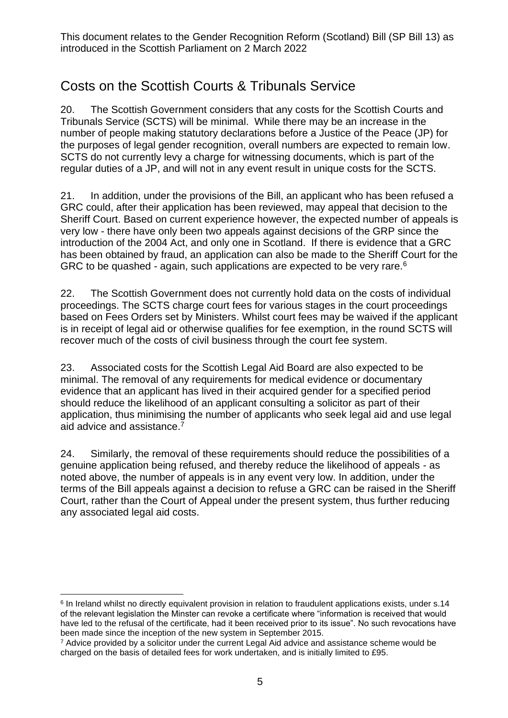### Costs on the Scottish Courts & Tribunals Service

20. The Scottish Government considers that any costs for the Scottish Courts and Tribunals Service (SCTS) will be minimal. While there may be an increase in the number of people making statutory declarations before a Justice of the Peace (JP) for the purposes of legal gender recognition, overall numbers are expected to remain low. SCTS do not currently levy a charge for witnessing documents, which is part of the regular duties of a JP, and will not in any event result in unique costs for the SCTS.

21. In addition, under the provisions of the Bill, an applicant who has been refused a GRC could, after their application has been reviewed, may appeal that decision to the Sheriff Court. Based on current experience however, the expected number of appeals is very low - there have only been two appeals against decisions of the GRP since the introduction of the 2004 Act, and only one in Scotland. If there is evidence that a GRC has been obtained by fraud, an application can also be made to the Sheriff Court for the GRC to be quashed - again, such applications are expected to be very rare.<sup>6</sup>

22. The Scottish Government does not currently hold data on the costs of individual proceedings. The SCTS charge court fees for various stages in the court proceedings based on Fees Orders set by Ministers. Whilst court fees may be waived if the applicant is in receipt of legal aid or otherwise qualifies for fee exemption, in the round SCTS will recover much of the costs of civil business through the court fee system.

23. Associated costs for the Scottish Legal Aid Board are also expected to be minimal. The removal of any requirements for medical evidence or documentary evidence that an applicant has lived in their acquired gender for a specified period should reduce the likelihood of an applicant consulting a solicitor as part of their application, thus minimising the number of applicants who seek legal aid and use legal aid advice and assistance.<sup>7</sup>

24. Similarly, the removal of these requirements should reduce the possibilities of a genuine application being refused, and thereby reduce the likelihood of appeals - as noted above, the number of appeals is in any event very low. In addition, under the terms of the Bill appeals against a decision to refuse a GRC can be raised in the Sheriff Court, rather than the Court of Appeal under the present system, thus further reducing any associated legal aid costs.

<sup>6</sup> In Ireland whilst no directly equivalent provision in relation to fraudulent applications exists, under s.14 of the relevant legislation the Minster can revoke a certificate where "information is received that would have led to the refusal of the certificate, had it been received prior to its issue". No such revocations have been made since the inception of the new system in September 2015.

 $7$  Advice provided by a solicitor under the current Legal Aid advice and assistance scheme would be charged on the basis of detailed fees for work undertaken, and is initially limited to £95.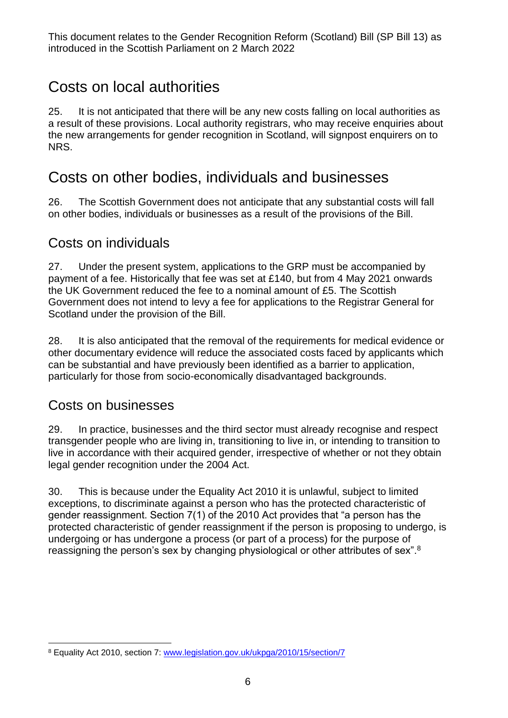## Costs on local authorities

25. It is not anticipated that there will be any new costs falling on local authorities as a result of these provisions. Local authority registrars, who may receive enquiries about the new arrangements for gender recognition in Scotland, will signpost enquirers on to NRS.

## Costs on other bodies, individuals and businesses

26. The Scottish Government does not anticipate that any substantial costs will fall on other bodies, individuals or businesses as a result of the provisions of the Bill.

#### Costs on individuals

27. Under the present system, applications to the GRP must be accompanied by payment of a fee. Historically that fee was set at £140, but from 4 May 2021 onwards the UK Government reduced the fee to a nominal amount of £5. The Scottish Government does not intend to levy a fee for applications to the Registrar General for Scotland under the provision of the Bill.

28. It is also anticipated that the removal of the requirements for medical evidence or other documentary evidence will reduce the associated costs faced by applicants which can be substantial and have previously been identified as a barrier to application, particularly for those from socio-economically disadvantaged backgrounds.

#### Costs on businesses

29. In practice, businesses and the third sector must already recognise and respect transgender people who are living in, transitioning to live in, or intending to transition to live in accordance with their acquired gender, irrespective of whether or not they obtain legal gender recognition under the 2004 Act.

30. This is because under the Equality Act 2010 it is unlawful, subject to limited exceptions, to discriminate against a person who has the protected characteristic of gender reassignment. Section 7(1) of the 2010 Act provides that "a person has the protected characteristic of gender reassignment if the person is proposing to undergo, is undergoing or has undergone a process (or part of a process) for the purpose of reassigning the person's sex by changing physiological or other attributes of sex".<sup>8</sup>

<sup>8</sup> Equality Act 2010, section 7: [www.legislation.gov.uk/ukpga/2010/15/section/7](file:///C:/Users/s800133/AppData/Local/Microsoft/Windows/INetCache/Content.Outlook/N7QLXVQU/www.legislation.gov.uk/ukpga/2010/15/section/7)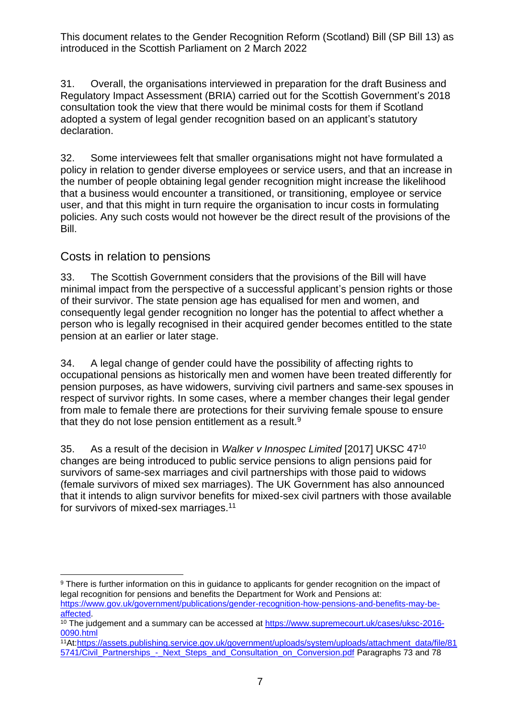31. Overall, the organisations interviewed in preparation for the draft Business and Regulatory Impact Assessment (BRIA) carried out for the Scottish Government's 2018 consultation took the view that there would be minimal costs for them if Scotland adopted a system of legal gender recognition based on an applicant's statutory declaration.

32. Some interviewees felt that smaller organisations might not have formulated a policy in relation to gender diverse employees or service users, and that an increase in the number of people obtaining legal gender recognition might increase the likelihood that a business would encounter a transitioned, or transitioning, employee or service user, and that this might in turn require the organisation to incur costs in formulating policies. Any such costs would not however be the direct result of the provisions of the Bill.

#### Costs in relation to pensions

33. The Scottish Government considers that the provisions of the Bill will have minimal impact from the perspective of a successful applicant's pension rights or those of their survivor. The state pension age has equalised for men and women, and consequently legal gender recognition no longer has the potential to affect whether a person who is legally recognised in their acquired gender becomes entitled to the state pension at an earlier or later stage.

34. A legal change of gender could have the possibility of affecting rights to occupational pensions as historically men and women have been treated differently for pension purposes, as have widowers, surviving civil partners and same-sex spouses in respect of survivor rights. In some cases, where a member changes their legal gender from male to female there are protections for their surviving female spouse to ensure that they do not lose pension entitlement as a result.<sup>9</sup>

35. As a result of the decision in *Walker v Innospec Limited* [2017] UKSC 47<sup>10</sup> changes are being introduced to public service pensions to align pensions paid for survivors of same-sex marriages and civil partnerships with those paid to widows (female survivors of mixed sex marriages). The UK Government has also announced that it intends to align survivor benefits for mixed-sex civil partners with those available for survivors of mixed-sex marriages.<sup>11</sup>

<sup>&</sup>lt;sup>9</sup> There is further information on this in guidance to applicants for gender recognition on the impact of legal recognition for pensions and benefits the Department for Work and Pensions at: [https://www.gov.uk/government/publications/gender-recognition-how-pensions-and-benefits-may-be](https://www.gov.uk/government/publications/gender-recognition-how-pensions-and-benefits-may-be-affected)[affected.](https://www.gov.uk/government/publications/gender-recognition-how-pensions-and-benefits-may-be-affected)

<sup>&</sup>lt;sup>10</sup> The judgement and a summary can be accessed at [https://www.supremecourt.uk/cases/uksc-2016-](https://www.supremecourt.uk/cases/uksc-2016-0090.html) [0090.html](https://www.supremecourt.uk/cases/uksc-2016-0090.html)

<sup>11</sup>At[:https://assets.publishing.service.gov.uk/government/uploads/system/uploads/attachment\\_data/file/81](https://assets.publishing.service.gov.uk/government/uploads/system/uploads/attachment_data/file/815741/Civil_Partnerships_-_Next_Steps_and_Consultation_on_Conversion.pdf) [5741/Civil\\_Partnerships\\_-\\_Next\\_Steps\\_and\\_Consultation\\_on\\_Conversion.pdf](https://assets.publishing.service.gov.uk/government/uploads/system/uploads/attachment_data/file/815741/Civil_Partnerships_-_Next_Steps_and_Consultation_on_Conversion.pdf) Paragraphs 73 and 78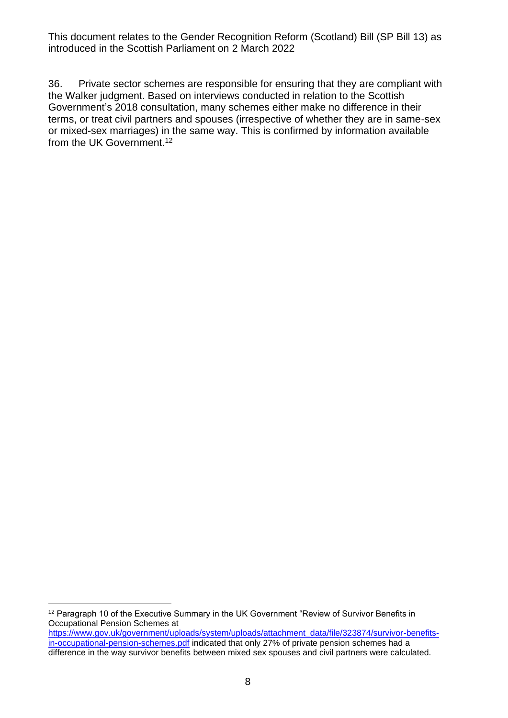36. Private sector schemes are responsible for ensuring that they are compliant with the Walker judgment. Based on interviews conducted in relation to the Scottish Government's 2018 consultation, many schemes either make no difference in their terms, or treat civil partners and spouses (irrespective of whether they are in same-sex or mixed-sex marriages) in the same way. This is confirmed by information available from the UK Government.<sup>12</sup>

<sup>&</sup>lt;sup>12</sup> Paragraph 10 of the Executive Summary in the UK Government "Review of Survivor Benefits in Occupational Pension Schemes at [https://www.gov.uk/government/uploads/system/uploads/attachment\\_data/file/323874/survivor-benefits](https://www.gov.uk/government/uploads/system/uploads/attachment_data/file/323874/survivor-benefits-in-occupational-pension-schemes.pdf)[in-occupational-pension-schemes.pdf](https://www.gov.uk/government/uploads/system/uploads/attachment_data/file/323874/survivor-benefits-in-occupational-pension-schemes.pdf) indicated that only 27% of private pension schemes had a difference in the way survivor benefits between mixed sex spouses and civil partners were calculated.